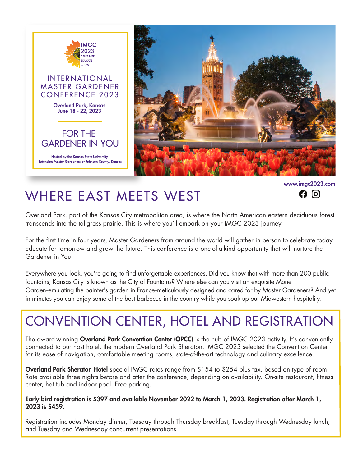

www.imgc2023.com $\mathbf{\Omega}$  이

## WHERE EAST MEETS WEST

Overland Park, part of the Kansas City metropolitan area, is where the North American eastern deciduous forest transcends into the tallgrass prairie. This is where you'll embark on your IMGC 2023 journey.

For the first time in four years, Master Gardeners from around the world will gather in person to celebrate today, educate for tomorrow and grow the future. This conference is a one-of-a-kind opportunity that will nurture the Gardener in You.

Everywhere you look, you're going to find unforgettable experiences. Did you know that with more than 200 public fountains, Kansas City is known as the City of Fountains? Where else can you visit an exquisite Monet Garden-emulating the painter's garden in France-meticulously designed and cared for by Master Gardeners? And yet in minutes you can enjoy some of the best barbecue in the country while you soak up our Midwestern hospitality.

# CONVENTION CENTER, HOTEL AND REGISTRATION

The award-winning Overland Park Convention Center (OPCC) is the hub of IMGC 2023 activity. It's conveniently connected to our host hotel, the modern Overland Park Sheraton. IMGC 2023 selected the Convention Center for its ease of navigation, comfortable meeting rooms, state-of-the-art technology and culinary excellence.

Overland Park Sheraton Hotel special IMGC rates range from \$154 to \$254 plus tax, based on type of room. Rate available three nights before and after the conference, depending on availability. On-site restaurant, fitness center, hot tub and indoor pool. Free parking.

#### Early bird registration is \$397 and available November 2022 to March 1, 2023. Registration after March 1, 2023 is \$459.

Registration includes Monday dinner, Tuesday through Thursday breakfast, Tuesday through Wednesday lunch, and Tuesday and Wednesday concurrent presentations.